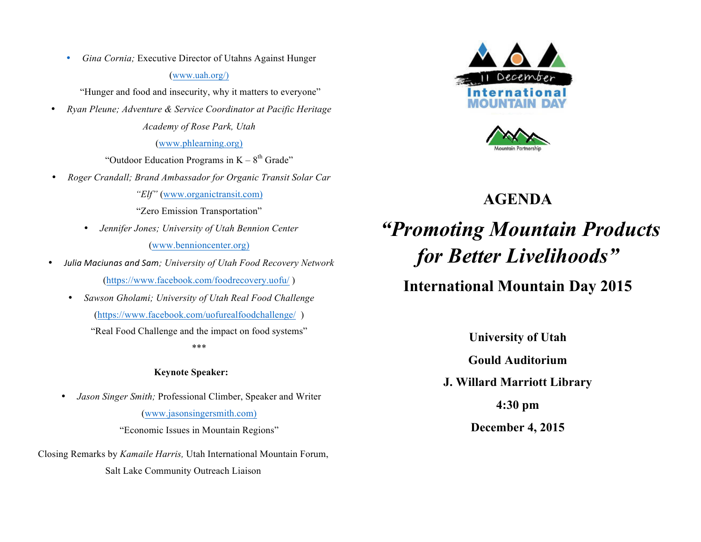• *Gina Cornia;* Executive Director of Utahns Against Hunger

#### (www.uah.org/)

"Hunger and food and insecurity, why it matters to everyone"

• *Ryan Pleune; Adventure & Service Coordinator at Pacific Heritage Academy of Rose Park, Utah*

### (www.phlearning.org)

"Outdoor Education Programs in  $K - 8<sup>th</sup>$  Grade"

• *Roger Crandall; Brand Ambassador for Organic Transit Solar Car* 

*"Elf"* (www.organictransit.com)

"Zero Emission Transportation"

• *Jennifer Jones; University of Utah Bennion Center*

(www.bennioncenter.org)

- *Julia Maciunas and Sam; University of Utah Food Recovery Network* (https://www.facebook.com/foodrecovery.uofu/ )
	- *Sawson Gholami; University of Utah Real Food Challenge* (https://www.facebook.com/uofurealfoodchallenge/ )

"Real Food Challenge and the impact on food systems" \*\*\*

## **Keynote Speaker:**

• *Jason Singer Smith;* Professional Climber, Speaker and Writer (www.jasonsingersmith.com)

"Economic Issues in Mountain Regions"

Closing Remarks by *Kamaile Harris,* Utah International Mountain Forum, Salt Lake Community Outreach Liaison





# **AGENDA**

# *"Promoting Mountain Products for Better Livelihoods"*

# **International Mountain Day 2015**

**University of Utah**

**Gould Auditorium**

**J. Willard Marriott Library**

**4:30 pm**

**December 4, 2015**